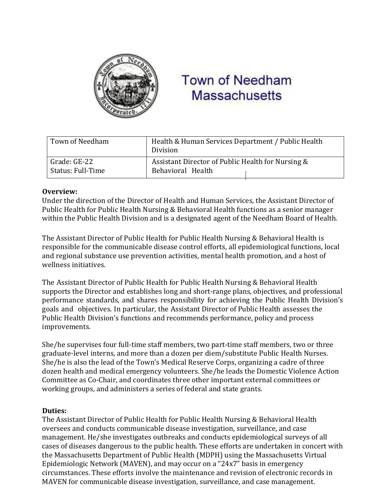

# **Town of Needham Massachusetts**

| Town of Needham   | Health & Human Services Department / Public Health<br>Division |
|-------------------|----------------------------------------------------------------|
| Grade: GE-22      | Assistant Director of Public Health for Nursing &              |
| Status: Full-Time | Behavioral Health                                              |

#### **Overview:**

Under the direction of the Director of Health and Human Services, the Assistant Director of Public Health for Public Health Nursing & Behavioral Health functions as a senior manager within the Public Health Division and is a designated agent of the Needham Board of Health.

The Assistant Director of Public Health for Public Health Nursing & Behavioral Health is responsible for the communicable disease control efforts, all epidemiological functions, local and regional substance use prevention activities, mental health promotion, and a host of wellness initiatives.

The Assistant Director of Public Health for Public Health Nursing & Behavioral Health supports the Director and establishes long and short-range plans, objectives, and professional performance standards, and shares responsibility for achieving the Public Health Division's goals and objectives. In particular, the Assistant Director of Public Health assesses the Public Health Division's functions and recommends performance, policy and process improvements.

She/he supervises four full-time staff members, two part-time staff members, two or three graduate-level interns, and more than a dozen per diem/substitute Public Health Nurses. She/he is also the lead of the Town's Medical Reserve Corps, organizing a cadre of three dozen health and medical emergency volunteers. She/he leads the Domestic Violence Action Committee as Co-Chair, and coordinates three other important external committees or working groups, and administers a series of federal and state grants.

## **Duties:**

The Assistant Director of Public Health for Public Health Nursing & Behavioral Health oversees and conducts communicable disease investigation, surveillance, and case management. He/she investigates outbreaks and conducts epidemiological surveys of all cases of diseases dangerous to the public health. These efforts are undertaken in concert with the Massachusetts Department of Public Health (MDPH) using the Massachusetts Virtual Epidemiologic Network (MAVEN), and may occur on a "24x7" basis in emergency circumstances. These efforts involve the maintenance and revision of electronic records in MAVEN for communicable disease investigation, surveillance, and case management.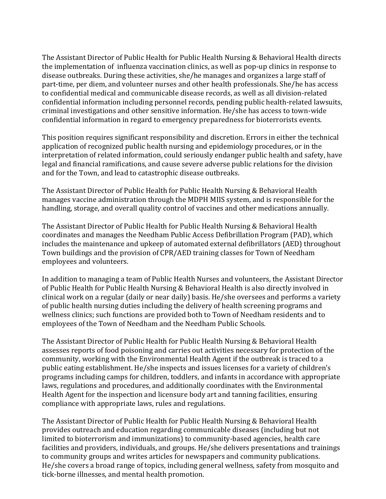The Assistant Director of Public Health for Public Health Nursing & Behavioral Health directs the implementation of influenza vaccination clinics, as well as pop-up clinics in response to disease outbreaks. During these activities, she/he manages and organizes a large staff of part-time, per diem, and volunteer nurses and other health professionals. She/he has access to confidential medical and communicable disease records, as well as all division-related confidential information including personnel records, pending public health-related lawsuits, criminal investigations and other sensitive information. He/she has access to town-wide confidential information in regard to emergency preparedness for bioterrorists events.

This position requires significant responsibility and discretion. Errors in either the technical application of recognized public health nursing and epidemiology procedures, or in the interpretation of related information, could seriously endanger public health and safety, have legal and financial ramifications, and cause severe adverse public relations for the division and for the Town, and lead to catastrophic disease outbreaks.

The Assistant Director of Public Health for Public Health Nursing & Behavioral Health manages vaccine administration through the MDPH MIIS system, and is responsible for the handling, storage, and overall quality control of vaccines and other medications annually.

The Assistant Director of Public Health for Public Health Nursing & Behavioral Health coordinates and manages the Needham Public Access Defibrillation Program (PAD), which includes the maintenance and upkeep of automated external defibrillators (AED) throughout Town buildings and the provision of CPR/AED training classes for Town of Needham employees and volunteers.

In addition to managing a team of Public Health Nurses and volunteers, the Assistant Director of Public Health for Public Health Nursing & Behavioral Health is also directly involved in clinical work on a regular (daily or near daily) basis. He/she oversees and performs a variety of public health nursing duties including the delivery of health screening programs and wellness clinics; such functions are provided both to Town of Needham residents and to employees of the Town of Needham and the Needham Public Schools.

The Assistant Director of Public Health for Public Health Nursing & Behavioral Health assesses reports of food poisoning and carries out activities necessary for protection of the community, working with the Environmental Health Agent if the outbreak is traced to a public eating establishment. He/she inspects and issues licenses for a variety of children's programs including camps for children, toddlers, and infants in accordance with appropriate laws, regulations and procedures, and additionally coordinates with the Environmental Health Agent for the inspection and licensure body art and tanning facilities, ensuring compliance with appropriate laws, rules and regulations.

The Assistant Director of Public Health for Public Health Nursing & Behavioral Health provides outreach and education regarding communicable diseases (including but not limited to bioterrorism and immunizations) to community-based agencies, health care facilities and providers, individuals, and groups. He/she delivers presentations and trainings to community groups and writes articles for newspapers and community publications. He/she covers a broad range of topics, including general wellness, safety from mosquito and tick-borne illnesses, and mental health promotion.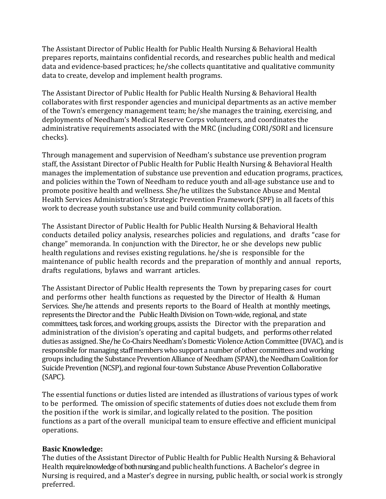The Assistant Director of Public Health for Public Health Nursing & Behavioral Health prepares reports, maintains confidential records, and researches public health and medical data and evidence-based practices; he/she collects quantitative and qualitative community data to create, develop and implement health programs.

The Assistant Director of Public Health for Public Health Nursing & Behavioral Health collaborates with first responder agencies and municipal departments as an active member of the Town's emergency management team; he/she manages the training, exercising, and deployments of Needham's Medical Reserve Corps volunteers, and coordinates the administrative requirements associated with the MRC (including CORI/SORI and licensure checks).

Through management and supervision of Needham's substance use prevention program staff, the Assistant Director of Public Health for Public Health Nursing & Behavioral Health manages the implementation of substance use prevention and education programs, practices, and policies within the Town of Needham to reduce youth and all-age substance use and to promote positive health and wellness. She/he utilizes the Substance Abuse and Mental Health Services Administration's Strategic Prevention Framework (SPF) in all facets of this work to decrease youth substance use and build community collaboration.

The Assistant Director of Public Health for Public Health Nursing & Behavioral Health conducts detailed policy analysis, researches policies and regulations, and drafts "case for change" memoranda. In conjunction with the Director, he or she develops new public health regulations and revises existing regulations. he/she is responsible for the maintenance of public health records and the preparation of monthly and annual reports, drafts regulations, bylaws and warrant articles.

The Assistant Director of Public Health represents the Town by preparing cases for court and performs other health functions as requested by the Director of Health & Human Services. She/he attends and presents reports to the Board of Health at monthly meetings, represents the Director and the Public Health Division on Town-wide, regional, and state committees, task forces, and working groups, assists the Director with the preparation and administration of the division's operating and capital budgets, and performs other related duties as assigned.She/he Co-Chairs Needham's Domestic Violence Action Committee (DVAC), and is responsible for managing staff members who support a number of other committees and working groups including the Substance Prevention Alliance of Needham (SPAN), the Needham Coalition for Suicide Prevention (NCSP), and regional four-town Substance Abuse Prevention Collaborative (SAPC).

The essential functions or duties listed are intended as illustrations of various types of work to be performed. The omission of specific statements of duties does not exclude them from the position if the work is similar, and logically related to the position. The position functions as a part of the overall municipal team to ensure effective and efficient municipal operations.

#### **Basic Knowledge:**

The duties of the Assistant Director of Public Health for Public Health Nursing & Behavioral Health require knowledge of both nursing and public health functions. A Bachelor's degree in Nursing is required, and a Master's degree in nursing, public health, or social work is strongly preferred.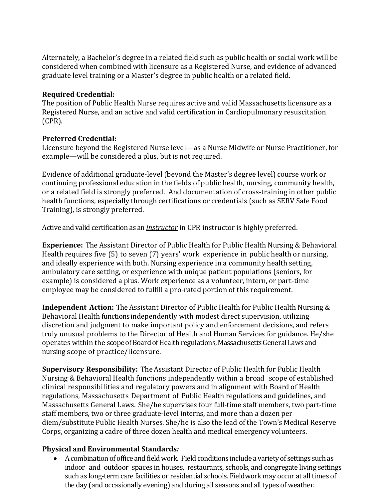Alternately, a Bachelor's degree in a related field such as public health or social work will be considered when combined with licensure as a Registered Nurse, and evidence of advanced graduate level training or a Master's degree in public health or a related field.

#### **Required Credential:**

The position of Public Health Nurse requires active and valid Massachusetts licensure as a Registered Nurse, and an active and valid certification in Cardiopulmonary resuscitation (CPR).

## **Preferred Credential:**

Licensure beyond the Registered Nurse level—as a Nurse Midwife or Nurse Practitioner, for example—will be considered a plus, but is not required.

Evidence of additional graduate-level (beyond the Master's degree level) course work or continuing professional education in the fields of public health, nursing, community health, or a related field is strongly preferred. And documentation of cross-training in other public health functions, especially through certifications or credentials (such as SERV Safe Food Training), is strongly preferred.

Active and valid certification as an *instructor* in CPR instructor is highly preferred.

**Experience:** The Assistant Director of Public Health for Public Health Nursing & Behavioral Health requires five (5) to seven (7) years' work experience in public health or nursing, and ideally experience with both. Nursing experience in a community health setting, ambulatory care setting, or experience with unique patient populations (seniors, for example) is considered a plus. Work experience as a volunteer, intern, or part-time employee may be considered to fulfill a pro-rated portion of this requirement.

**Independent Action:** The Assistant Director of Public Health for Public Health Nursing & Behavioral Health functionsindependently with modest direct supervision, utilizing discretion and judgment to make important policy and enforcement decisions, and refers truly unusual problems to the Director of Health and Human Services for guidance. He/she operates within the scope of Board of Health regulations, Massachusetts General Laws and nursing scope of practice/licensure.

**Supervisory Responsibility:** TheAssistant Director of Public Health for Public Health Nursing & Behavioral Health functions independently within a broad scope of established clinical responsibilities and regulatory powers and in alignment with Board of Health regulations, Massachusetts Department of Public Health regulations and guidelines, and Massachusetts General Laws. She/he supervises four full-time staff members, two part-time staff members, two or three graduate-level interns, and more than a dozen per diem/substitute Public Health Nurses. She/he is also the lead of the Town's Medical Reserve Corps, organizing a cadre of three dozen health and medical emergency volunteers.

## **Physical and Environmental Standards***:*

A combination of office and field work. Field conditions include a variety of settings such as indoor and outdoor spaces in houses, restaurants, schools, and congregate living settings such as long-term care facilities or residential schools. Fieldwork may occur at all times of the day (and occasionally evening) and during all seasons and all types of weather.